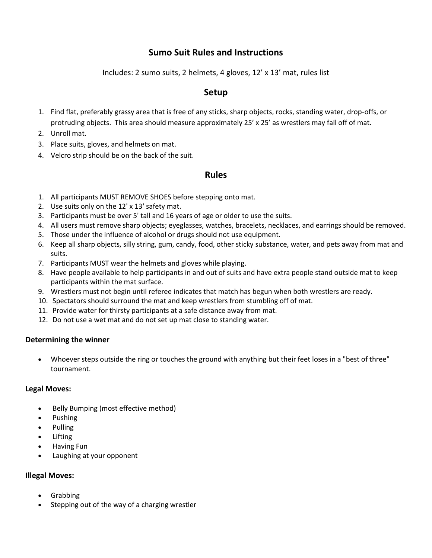# **Sumo Suit Rules and Instructions**

Includes: 2 sumo suits, 2 helmets, 4 gloves, 12' x 13' mat, rules list

## **Setup**

- 1. Find flat, preferably grassy area that is free of any sticks, sharp objects, rocks, standing water, drop-offs, or protruding objects. This area should measure approximately 25' x 25' as wrestlers may fall off of mat.
- 2. Unroll mat.
- 3. Place suits, gloves, and helmets on mat.
- 4. Velcro strip should be on the back of the suit.

## **Rules**

- 1. All participants MUST REMOVE SHOES before stepping onto mat.
- 2. Use suits only on the 12' x 13' safety mat.
- 3. Participants must be over 5' tall and 16 years of age or older to use the suits.
- 4. All users must remove sharp objects; eyeglasses, watches, bracelets, necklaces, and earrings should be removed.
- 5. Those under the influence of alcohol or drugs should not use equipment.
- 6. Keep all sharp objects, silly string, gum, candy, food, other sticky substance, water, and pets away from mat and suits.
- 7. Participants MUST wear the helmets and gloves while playing.
- 8. Have people available to help participants in and out of suits and have extra people stand outside mat to keep participants within the mat surface.
- 9. Wrestlers must not begin until referee indicates that match has begun when both wrestlers are ready.
- 10. Spectators should surround the mat and keep wrestlers from stumbling off of mat.
- 11. Provide water for thirsty participants at a safe distance away from mat.
- 12. Do not use a wet mat and do not set up mat close to standing water.

### **Determining the winner**

 Whoever steps outside the ring or touches the ground with anything but their feet loses in a "best of three" tournament.

### **Legal Moves:**

- Belly Bumping (most effective method)
- Pushing
- Pulling
- Lifting
- Having Fun
- Laughing at your opponent

## **Illegal Moves:**

- Grabbing
- Stepping out of the way of a charging wrestler